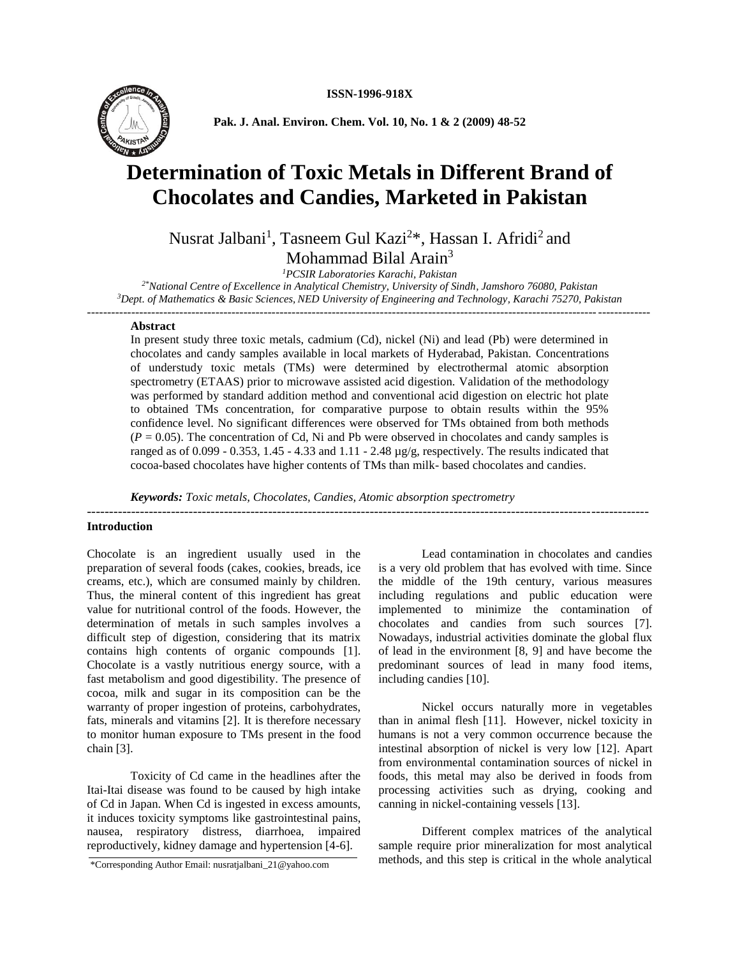

**Pak. J. Anal. Environ. Chem. Vol. 10, No. 1 & 2 (2009) 48-52**

# **Determination of Toxic Metals in Different Brand of Chocolates and Candies, Marketed in Pakistan**

Nusrat Jalbani<sup>1</sup>, Tasneem Gul Kazi<sup>2\*</sup>, Hassan I. Afridi<sup>2</sup> and Mohammad Bilal Arain<sup>3</sup>

*<sup>1</sup>PCSIR Laboratories Karachi, Pakistan*

*2\*National Centre of Excellence in Analytical Chemistry, University of Sindh, Jamshoro 76080, Pakistan <sup>3</sup>Dept. of Mathematics & Basic Sciences, NED University of Engineering and Technology, Karachi 75270, Pakistan --------------------------------------------------------------------------------------------------------------------------------------------*

#### **Abstract**

In present study three toxic metals, cadmium (Cd), nickel (Ni) and lead (Pb) were determined in chocolates and candy samples available in local markets of Hyderabad, Pakistan. Concentrations of understudy toxic metals (TMs) were determined by electrothermal atomic absorption spectrometry (ETAAS) prior to microwave assisted acid digestion. Validation of the methodology was performed by standard addition method and conventional acid digestion on electric hot plate to obtained TMs concentration, for comparative purpose to obtain results within the 95% confidence level. No significant differences were observed for TMs obtained from both methods  $(P = 0.05)$ . The concentration of Cd, Ni and Pb were observed in chocolates and candy samples is ranged as of 0.099 - 0.353, 1.45 - 4.33 and 1.11 - 2.48 µg/g, respectively. The results indicated that cocoa-based chocolates have higher contents of TMs than milk- based chocolates and candies.

-------------------------------------------------------------------------------------------------------------------------------

*Keywords: Toxic metals, Chocolates, Candies, Atomic absorption spectrometry*

#### **Introduction**

Chocolate is an ingredient usually used in the preparation of several foods (cakes, cookies, breads, ice creams, etc.), which are consumed mainly by children. Thus, the mineral content of this ingredient has great value for nutritional control of the foods. However, the determination of metals in such samples involves a difficult step of digestion, considering that its matrix contains high contents of organic compounds [1]. Chocolate is a vastly nutritious energy source, with a fast metabolism and good digestibility. The presence of cocoa, milk and sugar in its composition can be the warranty of proper ingestion of proteins, carbohydrates, fats, minerals and vitamins [2]. It is therefore necessary to monitor human exposure to TMs present in the food chain [3].

Toxicity of Cd came in the headlines after the Itai-Itai disease was found to be caused by high intake of Cd in Japan. When Cd is ingested in excess amounts, it induces toxicity symptoms like gastrointestinal pains, nausea, respiratory distress, diarrhoea, impaired reproductively, kidney damage and hypertension [4-6].

Lead contamination in chocolates and candies is a very old problem that has evolved with time. Since the middle of the 19th century, various measures including regulations and public education were implemented to minimize the contamination of chocolates and candies from such sources [7]. Nowadays, industrial activities dominate the global flux of lead in the environment [8, 9] and have become the predominant sources of lead in many food items, including candies [10].

Nickel occurs naturally more in vegetables than in animal flesh [11]. However, nickel toxicity in humans is not a very common occurrence because the intestinal absorption of nickel is very low [12]. Apart from environmental contamination sources of nickel in foods, this metal may also be derived in foods from processing activities such as drying, cooking and canning in nickel-containing vessels [13].

Different complex matrices of the analytical sample require prior mineralization for most analytical \*Corresponding Author Email: nusratjalbani\_21@yahoo.com methods, and this step is critical in the whole analytical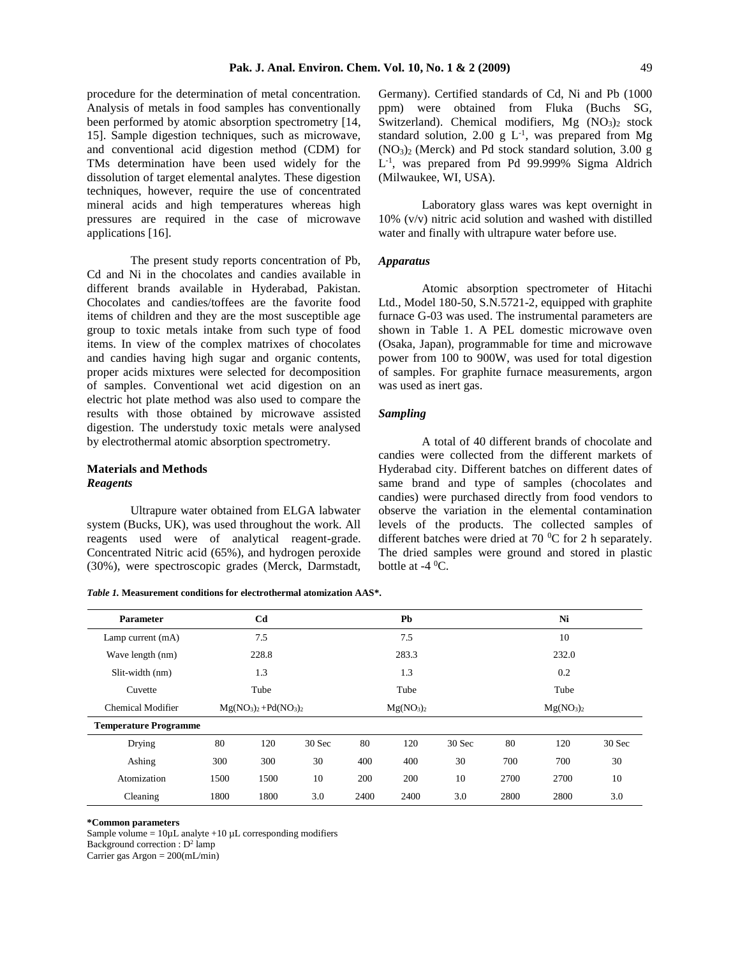procedure for the determination of metal concentration. Analysis of metals in food samples has conventionally been performed by atomic absorption spectrometry [14, 15]. Sample digestion techniques, such as microwave, and conventional acid digestion method (CDM) for TMs determination have been used widely for the dissolution of target elemental analytes. These digestion techniques, however, require the use of concentrated mineral acids and high temperatures whereas high pressures are required in the case of microwave applications [16].

The present study reports concentration of Pb, Cd and Ni in the chocolates and candies available in different brands available in Hyderabad, Pakistan. Chocolates and candies/toffees are the favorite food items of children and they are the most susceptible age group to toxic metals intake from such type of food items. In view of the complex matrixes of chocolates and candies having high sugar and organic contents, proper acids mixtures were selected for decomposition of samples. Conventional wet acid digestion on an electric hot plate method was also used to compare the results with those obtained by microwave assisted digestion. The understudy toxic metals were analysed by electrothermal atomic absorption spectrometry.

# **Materials and Methods** *Reagents*

Ultrapure water obtained from ELGA labwater system (Bucks, UK), was used throughout the work. All reagents used were of analytical reagent-grade. Concentrated Nitric acid (65%), and hydrogen peroxide (30%), were spectroscopic grades (Merck, Darmstadt,

*Table 1.* **Measurement conditions for electrothermal atomization AAS\*.**

Germany). Certified standards of Cd, Ni and Pb (1000 ppm) were obtained from Fluka (Buchs SG, Switzerland). Chemical modifiers,  $Mg (NO<sub>3</sub>)<sub>2</sub> stock$ standard solution, 2.00 g  $L^{-1}$ , was prepared from Mg  $(NO<sub>3</sub>)<sub>2</sub>$  (Merck) and Pd stock standard solution, 3.00 g L -1 , was prepared from Pd 99.999% Sigma Aldrich (Milwaukee, WI, USA).

Laboratory glass wares was kept overnight in 10% (v/v) nitric acid solution and washed with distilled water and finally with ultrapure water before use.

## *Apparatus*

Atomic absorption spectrometer of Hitachi Ltd., Model 180-50, S.N.5721-2, equipped with graphite furnace G-03 was used. The instrumental parameters are shown in Table 1. A PEL domestic microwave oven (Osaka, Japan), programmable for time and microwave power from 100 to 900W, was used for total digestion of samples. For graphite furnace measurements, argon was used as inert gas.

## *Sampling*

A total of 40 different brands of chocolate and candies were collected from the different markets of Hyderabad city. Different batches on different dates of same brand and type of samples (chocolates and candies) were purchased directly from food vendors to observe the variation in the elemental contamination levels of the products. The collected samples of different batches were dried at 70  $^{\circ}$ C for 2 h separately. The dried samples were ground and stored in plastic bottle at  $-4$  <sup>0</sup>C.

| <b>Parameter</b>             | C <sub>d</sub>        |       |        | Pb                                |       |        | Ni                                |       |        |  |
|------------------------------|-----------------------|-------|--------|-----------------------------------|-------|--------|-----------------------------------|-------|--------|--|
| Lamp current (mA)            |                       | 7.5   |        |                                   | 7.5   |        |                                   | 10    |        |  |
| Wave length (nm)             |                       | 228.8 |        |                                   | 283.3 |        |                                   | 232.0 |        |  |
| Slit-width (nm)              |                       | 1.3   |        |                                   | 1.3   |        |                                   | 0.2   |        |  |
| Cuvette                      |                       | Tube  |        |                                   | Tube  |        |                                   | Tube  |        |  |
| Chemical Modifier            | $Mg(NO3)2 + Pd(NO3)2$ |       |        | Mg(NO <sub>3</sub> ) <sub>2</sub> |       |        | Mg(NO <sub>3</sub> ) <sub>2</sub> |       |        |  |
| <b>Temperature Programme</b> |                       |       |        |                                   |       |        |                                   |       |        |  |
| Drying                       | 80                    | 120   | 30 Sec | 80                                | 120   | 30 Sec | 80                                | 120   | 30 Sec |  |
| Ashing                       | 300                   | 300   | 30     | 400                               | 400   | 30     | 700                               | 700   | 30     |  |
| Atomization                  | 1500                  | 1500  | 10     | 200                               | 200   | 10     | 2700                              | 2700  | 10     |  |
| Cleaning                     | 1800                  | 1800  | 3.0    | 2400                              | 2400  | 3.0    | 2800                              | 2800  | 3.0    |  |

**\*Common parameters**

Sample volume =  $10 \mu L$  analyte +10  $\mu L$  corresponding modifiers

Background correction :  $D^2$  lamp

Carrier gas Argon =  $200$ (mL/min)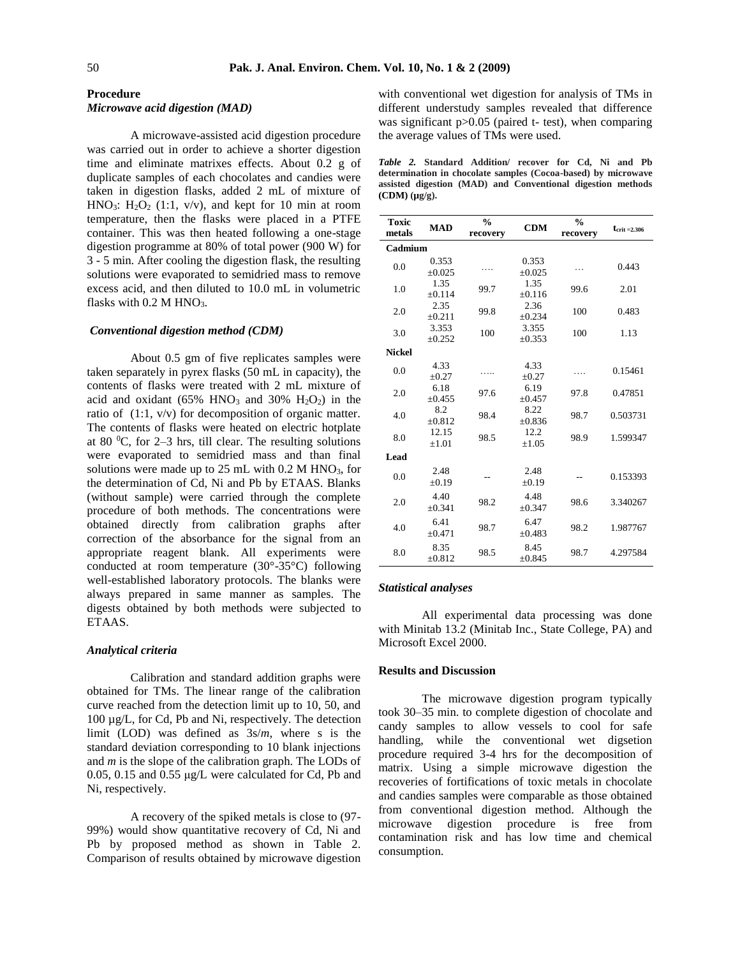## **Procedure** *Microwave acid digestion (MAD)*

A microwave-assisted acid digestion procedure was carried out in order to achieve a shorter digestion time and eliminate matrixes effects. About 0.2 g of duplicate samples of each chocolates and candies were taken in digestion flasks, added 2 mL of mixture of HNO<sub>3</sub>: H<sub>2</sub>O<sub>2</sub> (1:1, v/v), and kept for 10 min at room temperature, then the flasks were placed in a PTFE container. This was then heated following a one-stage digestion programme at 80% of total power (900 W) for 3 - 5 min. After cooling the digestion flask, the resulting solutions were evaporated to semidried mass to remove excess acid, and then diluted to 10.0 mL in volumetric flasks with  $0.2$  M HNO<sub>3</sub>.

# *Conventional digestion method (CDM)*

About 0.5 gm of five replicates samples were taken separately in pyrex flasks (50 mL in capacity), the contents of flasks were treated with 2 mL mixture of acid and oxidant ( $65\%$  HNO<sub>3</sub> and  $30\%$  H<sub>2</sub>O<sub>2</sub>) in the ratio of (1:1, v/v) for decomposition of organic matter. The contents of flasks were heated on electric hotplate at 80  $^{\circ}$ C, for 2–3 hrs, till clear. The resulting solutions were evaporated to semidried mass and than final solutions were made up to  $25 \text{ mL}$  with 0.2 M HNO<sub>3</sub>, for the determination of Cd, Ni and Pb by ETAAS. Blanks (without sample) were carried through the complete procedure of both methods. The concentrations were obtained directly from calibration graphs after correction of the absorbance for the signal from an appropriate reagent blank. All experiments were conducted at room temperature  $(30^{\circ} - 35^{\circ}C)$  following well-established laboratory protocols. The blanks were always prepared in same manner as samples. The digests obtained by both methods were subjected to ETAAS.

#### *Analytical criteria*

Calibration and standard addition graphs were obtained for TMs. The linear range of the calibration curve reached from the detection limit up to 10, 50, and 100 µg/L, for Cd, Pb and Ni, respectively. The detection limit (LOD) was defined as 3s/*m*, where s is the standard deviation corresponding to 10 blank injections and *m* is the slope of the calibration graph. The LODs of 0.05, 0.15 and 0.55 μg/L were calculated for Cd, Pb and Ni, respectively.

A recovery of the spiked metals is close to (97- 99%) would show quantitative recovery of Cd, Ni and Pb by proposed method as shown in Table 2. Comparison of results obtained by microwave digestion with conventional wet digestion for analysis of TMs in different understudy samples revealed that difference was significant  $p > 0.05$  (paired t- test), when comparing the average values of TMs were used.

|                       |  |  | <i>Table 2.</i> Standard Addition/ recover for Cd. Ni and Pb  |  |  |  |
|-----------------------|--|--|---------------------------------------------------------------|--|--|--|
|                       |  |  | determination in chocolate samples (Cocoa-based) by microwave |  |  |  |
|                       |  |  | assisted digestion (MAD) and Conventional digestion methods   |  |  |  |
| $(CDM)$ ( $\mu$ g/g). |  |  |                                                               |  |  |  |

| <b>Toxic</b><br>metals | <b>MAD</b>          | $\frac{0}{0}$<br>recovery | <b>CDM</b>           | $\frac{0}{0}$<br>recovery | $t_{\rm crit=2.306}$ |  |  |
|------------------------|---------------------|---------------------------|----------------------|---------------------------|----------------------|--|--|
| Cadmium                |                     |                           |                      |                           |                      |  |  |
| 0.0                    | 0.353<br>±0.025     |                           | 0.353<br>±0.025      |                           | 0.443                |  |  |
| 1.0                    | 1.35<br>±0.114      | 99.7                      | 1.35<br>±0.116       | 99.6                      | 2.01                 |  |  |
| 2.0                    | 2.35<br>$+0.211$    | 99.8                      | 2.36<br>±0.234       | 100                       | 0.483                |  |  |
| 3.0                    | 3.353<br>$+0.252$   | 100                       | 3.355<br>$\pm 0.353$ | 100                       | 1.13                 |  |  |
| <b>Nickel</b>          |                     |                           |                      |                           |                      |  |  |
| 0.0                    | 4.33<br>$\pm 0.27$  |                           | 4.33<br>$\pm 0.27$   | .                         | 0.15461              |  |  |
| 2.0                    | 6.18<br>±0.455      | 97.6                      | 6.19<br>±0.457       | 97.8                      | 0.47851              |  |  |
| 4.0                    | 8.2<br>±0.812       | 98.4                      | 8.22<br>±0.836       | 98.7                      | 0.503731             |  |  |
| 8.0                    | 12.15<br>$\pm 1.01$ | 98.5                      | 12.2<br>$\pm 1.05$   | 98.9                      | 1.599347             |  |  |
| Lead                   |                     |                           |                      |                           |                      |  |  |
| 0.0                    | 2.48<br>$\pm 0.19$  |                           | 2.48<br>$\pm 0.19$   |                           | 0.153393             |  |  |
| 2.0                    | 4.40<br>$+0.341$    | 98.2                      | 4.48<br>±0.347       | 98.6                      | 3.340267             |  |  |
| 4.0                    | 6.41<br>$+0.471$    | 98.7                      | 6.47<br>±0.483       | 98.2                      | 1.987767             |  |  |
| 8.0                    | 8.35<br>±0.812      | 98.5                      | 8.45<br>±0.845       | 98.7                      | 4.297584             |  |  |

#### *Statistical analyses*

All experimental data processing was done with Minitab 13.2 (Minitab Inc., State College, PA) and Microsoft Excel 2000.

## **Results and Discussion**

The microwave digestion program typically took 30–35 min. to complete digestion of chocolate and candy samples to allow vessels to cool for safe handling, while the conventional wet digsetion procedure required 3-4 hrs for the decomposition of matrix. Using a simple microwave digestion the recoveries of fortifications of toxic metals in chocolate and candies samples were comparable as those obtained from conventional digestion method. Although the microwave digestion procedure is free from contamination risk and has low time and chemical consumption.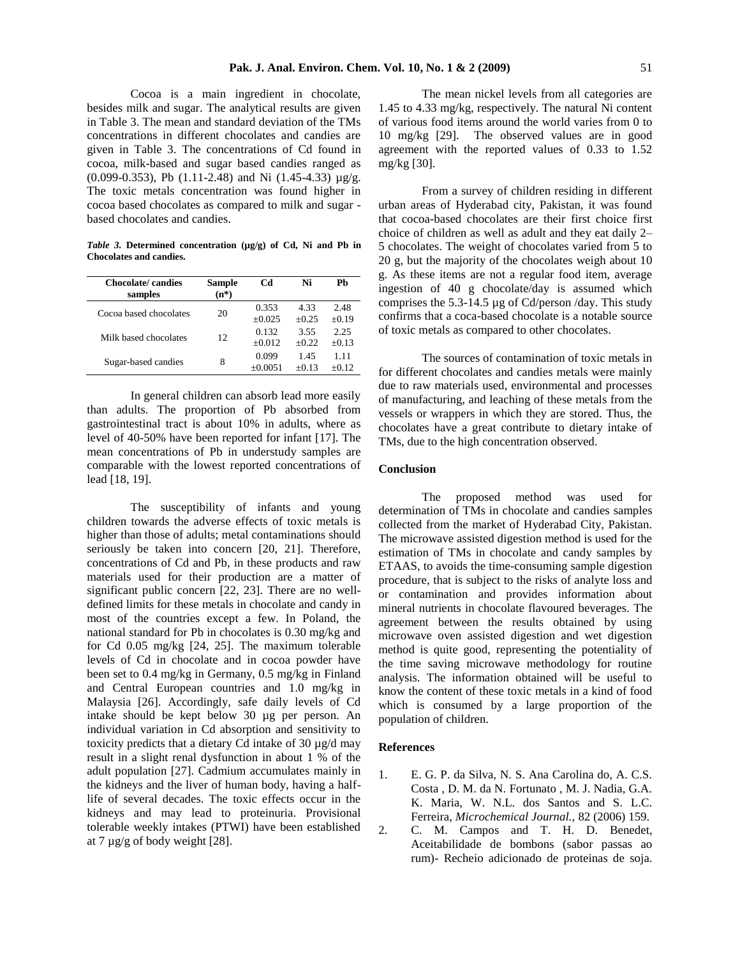Cocoa is a main ingredient in chocolate, besides milk and sugar. The analytical results are given in Table 3. The mean and standard deviation of the TMs concentrations in different chocolates and candies are given in Table 3. The concentrations of Cd found in cocoa, milk-based and sugar based candies ranged as (0.099-0.353), Pb (1.11-2.48) and Ni (1.45-4.33) µg/g. The toxic metals concentration was found higher in cocoa based chocolates as compared to milk and sugar based chocolates and candies.

*Table 3.* **Determined concentration (µg/g) of Cd, Ni and Pb in Chocolates and candies.**

| Chocolate/candies<br>samples | <b>Sample</b><br>$(n^*)$ | Сd                 | Ni              | Ph              |
|------------------------------|--------------------------|--------------------|-----------------|-----------------|
| Cocoa based chocolates       | 20                       | 0.353<br>$+0.025$  | 4.33<br>$+0.25$ | 2.48<br>$+0.19$ |
| Milk based chocolates        | 12                       | 0.132<br>$+0.012$  | 3.55<br>$+0.22$ | 2.25<br>$+0.13$ |
| Sugar-based candies          | 8                        | 0.099<br>$+0.0051$ | 1.45<br>$+0.13$ | 1.11<br>$+0.12$ |

In general children can absorb lead more easily than adults. The proportion of Pb absorbed from gastrointestinal tract is about 10% in adults, where as level of 40-50% have been reported for infant [17]. The mean concentrations of Pb in understudy samples are comparable with the lowest reported concentrations of lead [18, 19].

The susceptibility of infants and young children towards the adverse effects of toxic metals is higher than those of adults; metal contaminations should seriously be taken into concern [20, 21]. Therefore, concentrations of Cd and Pb, in these products and raw materials used for their production are a matter of significant public concern [22, 23]. There are no welldefined limits for these metals in chocolate and candy in most of the countries except a few. In Poland, the national standard for Pb in chocolates is 0.30 mg/kg and for Cd 0.05 mg/kg [24, 25]. The maximum tolerable levels of Cd in chocolate and in cocoa powder have been set to 0.4 mg/kg in Germany, 0.5 mg/kg in Finland and Central European countries and 1.0 mg/kg in Malaysia [26]. Accordingly, safe daily levels of Cd intake should be kept below 30 µg per person. An individual variation in Cd absorption and sensitivity to toxicity predicts that a dietary Cd intake of 30 µg/d may result in a slight renal dysfunction in about 1 % of the adult population [27]. Cadmium accumulates mainly in the kidneys and the liver of human body, having a halflife of several decades. The toxic effects occur in the kidneys and may lead to proteinuria. Provisional tolerable weekly intakes (PTWI) have been established at 7 µg/g of body weight [28].

The mean nickel levels from all categories are 1.45 to 4.33 mg/kg, respectively. The natural Ni content of various food items around the world varies from 0 to 10 mg/kg [29]. The observed values are in good agreement with the reported values of 0.33 to 1.52 mg/kg [30].

From a survey of children residing in different urban areas of Hyderabad city, Pakistan, it was found that cocoa-based chocolates are their first choice first choice of children as well as adult and they eat daily 2– 5 chocolates. The weight of chocolates varied from 5 to 20 g, but the majority of the chocolates weigh about 10 g. As these items are not a regular food item, average ingestion of 40 g chocolate/day is assumed which comprises the 5.3-14.5 µg of Cd/person /day. This study confirms that a coca-based chocolate is a notable source of toxic metals as compared to other chocolates.

The sources of contamination of toxic metals in for different chocolates and candies metals were mainly due to raw materials used, environmental and processes of manufacturing, and leaching of these metals from the vessels or wrappers in which they are stored. Thus, the chocolates have a great contribute to dietary intake of TMs, due to the high concentration observed.

### **Conclusion**

The proposed method was used for determination of TMs in chocolate and candies samples collected from the market of Hyderabad City, Pakistan. The microwave assisted digestion method is used for the estimation of TMs in chocolate and candy samples by ETAAS, to avoids the time-consuming sample digestion procedure, that is subject to the risks of analyte loss and or contamination and provides information about mineral nutrients in chocolate flavoured beverages. The agreement between the results obtained by using microwave oven assisted digestion and wet digestion method is quite good, representing the potentiality of the time saving microwave methodology for routine analysis. The information obtained will be useful to know the content of these toxic metals in a kind of food which is consumed by a large proportion of the population of children.

## **References**

- 1. E. G. P. da Silva, N. S. Ana Carolina do, A. C.S. Costa , D. M. da N. Fortunato , M. J. Nadia, G.A. K. Maria, W. N.L. dos Santos and S. L.C. Ferreira*, Microchemical Journal.,* 82 (2006) 159.
- 2. C. M. Campos and T. H. D. Benedet, Aceitabilidade de bombons (sabor passas ao rum)- Recheio adicionado de proteinas de soja.